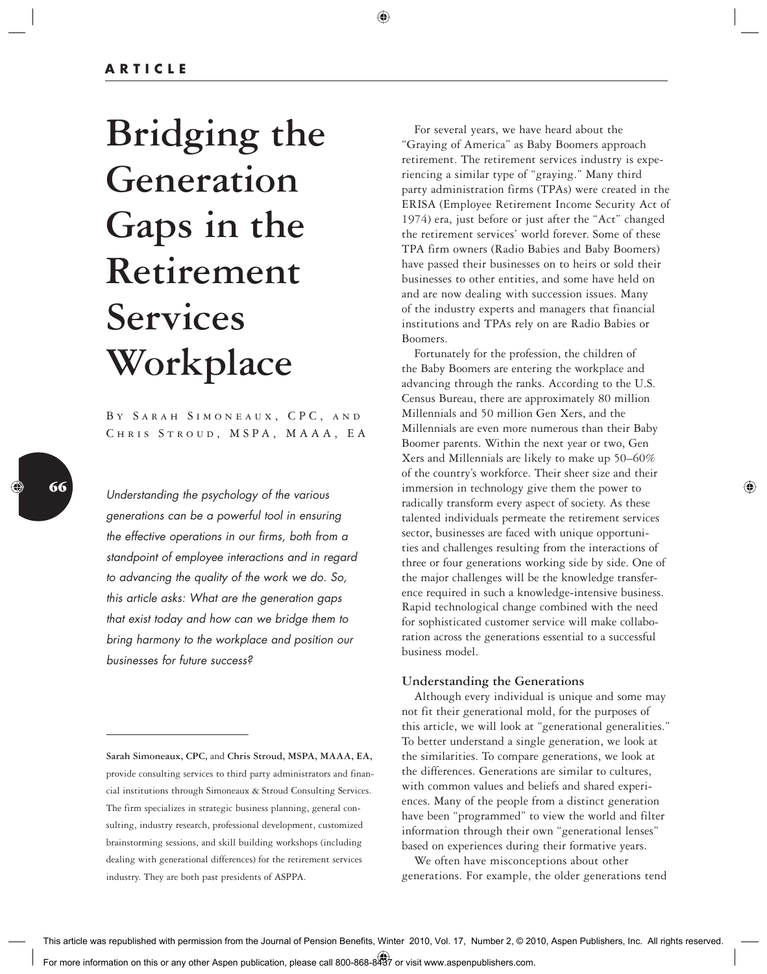# **Bridging the Generation Gaps in the Retirement Services Workplace**

BY SARAH SIMONEAUX, CPC, AND CHRIS STROUD, MSPA, MAAA, EA

Understanding the psychology of the various generations can be a powerful tool in ensuring the effective operations in our firms, both from a standpoint of employee interactions and in regard to advancing the quality of the work we do. So, this article asks: What are the generation gaps that exist today and how can we bridge them to bring harmony to the workplace and position our businesses for future success?

 For several years, we have heard about the "Graying of America" as Baby Boomers approach retirement. The retirement services industry is experiencing a similar type of "graying." Many third party administration firms (TPAs) were created in the ERISA (Employee Retirement Income Security Act of 1974) era, just before or just after the "Act" changed the retirement services' world forever. Some of these TPA firm owners (Radio Babies and Baby Boomers) have passed their businesses on to heirs or sold their businesses to other entities, and some have held on and are now dealing with succession issues. Many of the industry experts and managers that financial institutions and TPAs rely on are Radio Babies or Boomers.

 Fortunately for the profession, the children of the Baby Boomers are entering the workplace and advancing through the ranks. According to the U.S. Census Bureau, there are approximately 80 million Millennials and 50 million Gen Xers, and the Millennials are even more numerous than their Baby Boomer parents. Within the next year or two, Gen Xers and Millennials are likely to make up 50–60% of the country's workforce. Their sheer size and their immersion in technology give them the power to radically transform every aspect of society. As these talented individuals permeate the retirement services sector, businesses are faced with unique opportunities and challenges resulting from the interactions of three or four generations working side by side. One of the major challenges will be the knowledge transference required in such a knowledge-intensive business. Rapid technological change combined with the need for sophisticated customer service will make collaboration across the generations essential to a successful business model.

## **Understanding the Generations**

 Although every individual is unique and some may not fit their generational mold, for the purposes of this article, we will look at "generational generalities." To better understand a single generation, we look at the similarities. To compare generations, we look at the differences. Generations are similar to cultures, with common values and beliefs and shared experiences. Many of the people from a distinct generation have been "programmed" to view the world and filter information through their own "generational lenses" based on experiences during their formative years.

 We often have misconceptions about other generations. For example, the older generations tend

**Sarah Simoneaux, CPC,** and **Chris Stroud, MSPA, MAAA, EA,** provide consulting services to third party administrators and financial institutions through Simoneaux & Stroud Consulting Services. The firm specializes in strategic business planning, general consulting, industry research, professional development, customized brainstorming sessions, and skill building workshops (including dealing with generational differences) for the retirement services industry. They are both past presidents of ASPPA.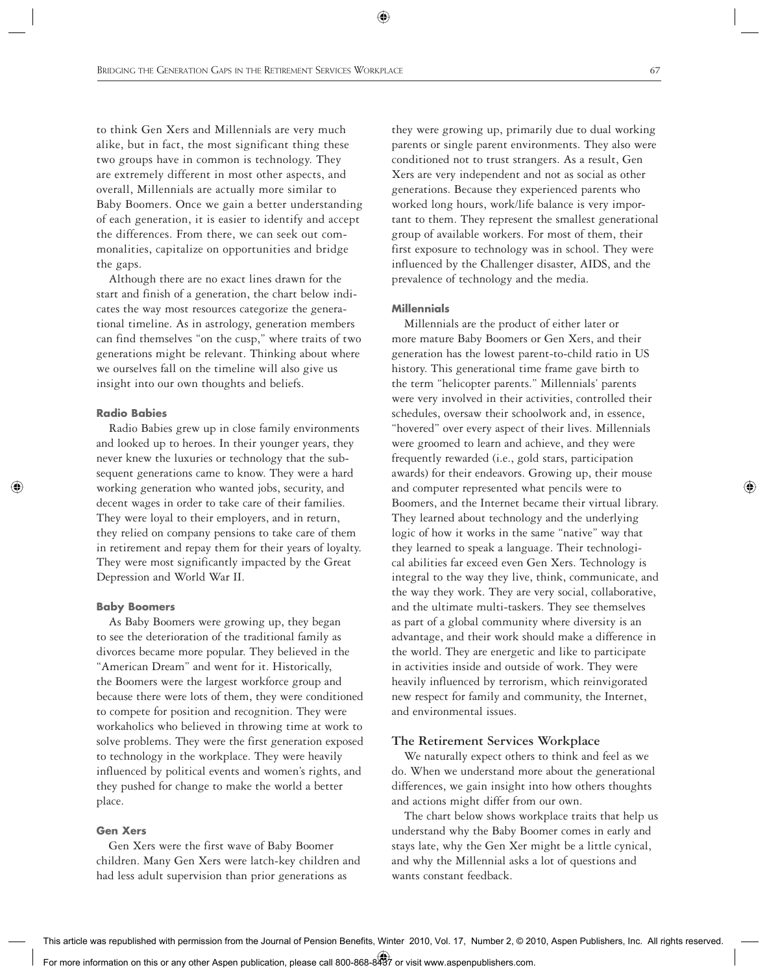to think Gen Xers and Millennials are very much alike, but in fact, the most significant thing these two groups have in common is technology. They are extremely different in most other aspects, and overall, Millennials are actually more similar to Baby Boomers. Once we gain a better understanding of each generation, it is easier to identify and accept the differences. From there, we can seek out commonalities, capitalize on opportunities and bridge the gaps.

 Although there are no exact lines drawn for the start and finish of a generation, the chart below indicates the way most resources categorize the generational timeline. As in astrology, generation members can find themselves "on the cusp," where traits of two generations might be relevant. Thinking about where we ourselves fall on the timeline will also give us insight into our own thoughts and beliefs.

## **Radio Babies**

 Radio Babies grew up in close family environments and looked up to heroes. In their younger years, they never knew the luxuries or technology that the subsequent generations came to know. They were a hard working generation who wanted jobs, security, and decent wages in order to take care of their families. They were loyal to their employers, and in return, they relied on company pensions to take care of them in retirement and repay them for their years of loyalty. They were most significantly impacted by the Great Depression and World War II.

## **Baby Boomers**

 As Baby Boomers were growing up, they began to see the deterioration of the traditional family as divorces became more popular. They believed in the "American Dream" and went for it. Historically, the Boomers were the largest workforce group and because there were lots of them, they were conditioned to compete for position and recognition. They were workaholics who believed in throwing time at work to solve problems. They were the first generation exposed to technology in the workplace. They were heavily influenced by political events and women's rights, and they pushed for change to make the world a better place.

#### **Gen Xers**

 Gen Xers were the first wave of Baby Boomer children. Many Gen Xers were latch-key children and had less adult supervision than prior generations as

they were growing up, primarily due to dual working parents or single parent environments. They also were conditioned not to trust strangers. As a result, Gen Xers are very independent and not as social as other generations. Because they experienced parents who worked long hours, work/life balance is very important to them. They represent the smallest generational group of available workers. For most of them, their first exposure to technology was in school. They were influenced by the Challenger disaster, AIDS, and the prevalence of technology and the media.

#### **Millennials**

 Millennials are the product of either later or more mature Baby Boomers or Gen Xers, and their generation has the lowest parent-to-child ratio in US history. This generational time frame gave birth to the term "helicopter parents." Millennials' parents were very involved in their activities, controlled their schedules, oversaw their schoolwork and, in essence, "hovered" over every aspect of their lives. Millennials were groomed to learn and achieve, and they were frequently rewarded (i.e., gold stars, participation awards) for their endeavors. Growing up, their mouse and computer represented what pencils were to Boomers, and the Internet became their virtual library. They learned about technology and the underlying logic of how it works in the same "native" way that they learned to speak a language. Their technological abilities far exceed even Gen Xers. Technology is integral to the way they live, think, communicate, and the way they work. They are very social, collaborative, and the ultimate multi-taskers. They see themselves as part of a global community where diversity is an advantage, and their work should make a difference in the world. They are energetic and like to participate in activities inside and outside of work. They were heavily influenced by terrorism, which reinvigorated new respect for family and community, the Internet, and environmental issues.

#### **The Retirement Services Workplace**

 We naturally expect others to think and feel as we do. When we understand more about the generational differences, we gain insight into how others thoughts and actions might differ from our own.

 The chart below shows workplace traits that help us understand why the Baby Boomer comes in early and stays late, why the Gen Xer might be a little cynical, and why the Millennial asks a lot of questions and wants constant feedback.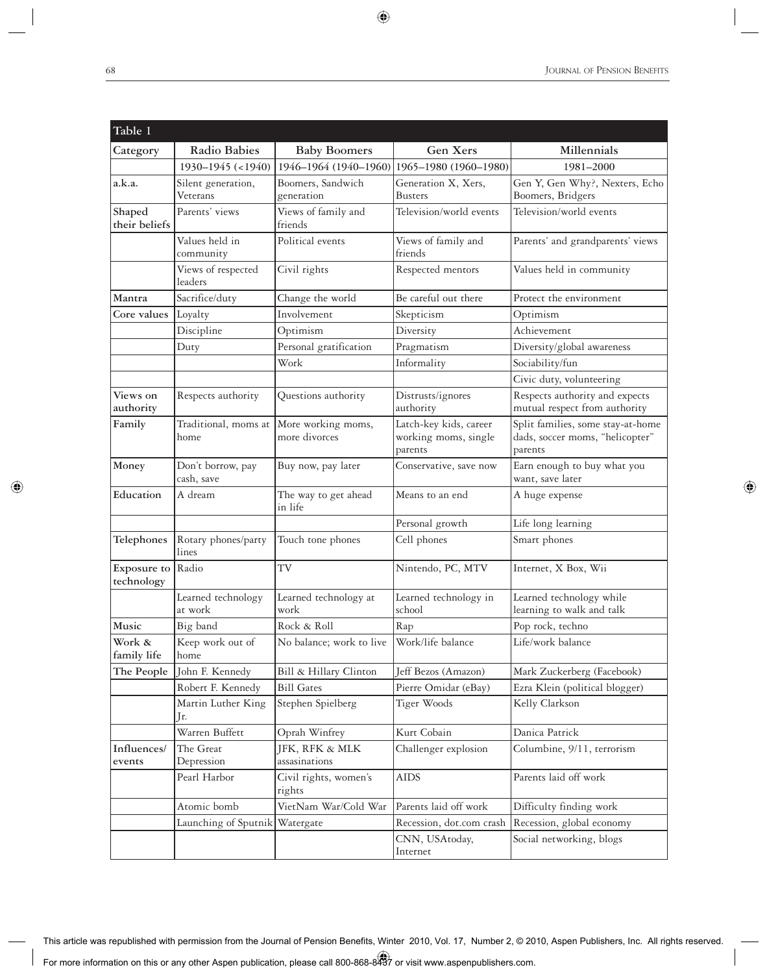| Table 1                   |                                 |                                                           |                                                           |                                                                                 |
|---------------------------|---------------------------------|-----------------------------------------------------------|-----------------------------------------------------------|---------------------------------------------------------------------------------|
| Category                  | Radio Babies                    | <b>Baby Boomers</b>                                       | Gen Xers                                                  | Millennials                                                                     |
|                           | 1930-1945 (<1940)               | 1946-1964 (1940-1960)                                     | 1965-1980 (1960-1980)                                     | 1981-2000                                                                       |
| a.k.a.                    | Silent generation,<br>Veterans  | Boomers, Sandwich<br>generation                           | Generation X, Xers,<br><b>Busters</b>                     | Gen Y, Gen Why?, Nexters, Echo<br>Boomers, Bridgers                             |
| Shaped<br>their beliefs   | Parents' views                  | Views of family and<br>friends                            | Television/world events                                   | Television/world events                                                         |
|                           | Values held in<br>community     | Political events                                          | Views of family and<br>friends                            | Parents' and grandparents' views                                                |
|                           | Views of respected<br>leaders   | Civil rights                                              | Respected mentors                                         | Values held in community                                                        |
| Mantra                    | Sacrifice/duty                  | Change the world                                          | Be careful out there                                      | Protect the environment                                                         |
| Core values               | Loyalty                         | Involvement                                               | Skepticism                                                | Optimism                                                                        |
|                           | Discipline                      | Optimism                                                  | Diversity                                                 | Achievement                                                                     |
|                           | Duty                            | Personal gratification                                    | Pragmatism                                                | Diversity/global awareness                                                      |
|                           |                                 | Work                                                      | Informality                                               | Sociability/fun                                                                 |
|                           |                                 |                                                           |                                                           | Civic duty, volunteering                                                        |
| Views on<br>authority     | Respects authority              | Questions authority                                       | Distrusts/ignores<br>authority                            | Respects authority and expects<br>mutual respect from authority                 |
| Family                    | home                            | Traditional, moms at  More working moms,<br>more divorces | Latch-key kids, career<br>working moms, single<br>parents | Split families, some stay-at-home<br>dads, soccer moms, "helicopter"<br>parents |
| Money                     | Don't borrow, pay<br>cash, save | Buy now, pay later                                        | Conservative, save now                                    | Earn enough to buy what you<br>want, save later                                 |
| Education                 | A dream                         | The way to get ahead<br>in life                           | Means to an end                                           | A huge expense                                                                  |
|                           |                                 |                                                           | Personal growth                                           | Life long learning                                                              |
| Telephones                | Rotary phones/party<br>lines    | Touch tone phones                                         | Cell phones                                               | Smart phones                                                                    |
| Exposure to<br>technology | Radio                           | TV                                                        | Nintendo, PC, MTV                                         | Internet, X Box, Wii                                                            |
|                           | Learned technology<br>at work   | Learned technology at<br>work                             | Learned technology in<br>school                           | Learned technology while<br>learning to walk and talk                           |
| Music                     | Big band                        | Rock & Roll                                               | Rap                                                       | Pop rock, techno                                                                |
| Work &<br>family life     | Keep work out of<br>home        | No balance; work to live                                  | Work/life balance                                         | Life/work balance                                                               |
| The People                | John F. Kennedy                 | Bill & Hillary Clinton                                    | Jeff Bezos (Amazon)                                       | Mark Zuckerberg (Facebook)                                                      |
|                           | Robert F. Kennedy               | <b>Bill Gates</b>                                         | Pierre Omidar (eBay)                                      | Ezra Klein (political blogger)                                                  |
|                           | Martin Luther King<br>Jr.       | Stephen Spielberg                                         | Tiger Woods                                               | Kelly Clarkson                                                                  |
|                           | Warren Buffett                  | Oprah Winfrey                                             | Kurt Cobain                                               | Danica Patrick                                                                  |
| Influences/<br>events     | The Great<br>Depression         | JFK, RFK & MLK<br>assasinations                           | Challenger explosion                                      | Columbine, 9/11, terrorism                                                      |
|                           | Pearl Harbor                    | Civil rights, women's<br>rights                           | <b>AIDS</b>                                               | Parents laid off work                                                           |
|                           | Atomic bomb                     | VietNam War/Cold War                                      | Parents laid off work                                     | Difficulty finding work                                                         |
|                           | Launching of Sputnik            | Watergate                                                 | Recession, dot.com crash                                  | Recession, global economy                                                       |
|                           |                                 |                                                           | CNN, USAtoday,<br>Internet                                | Social networking, blogs                                                        |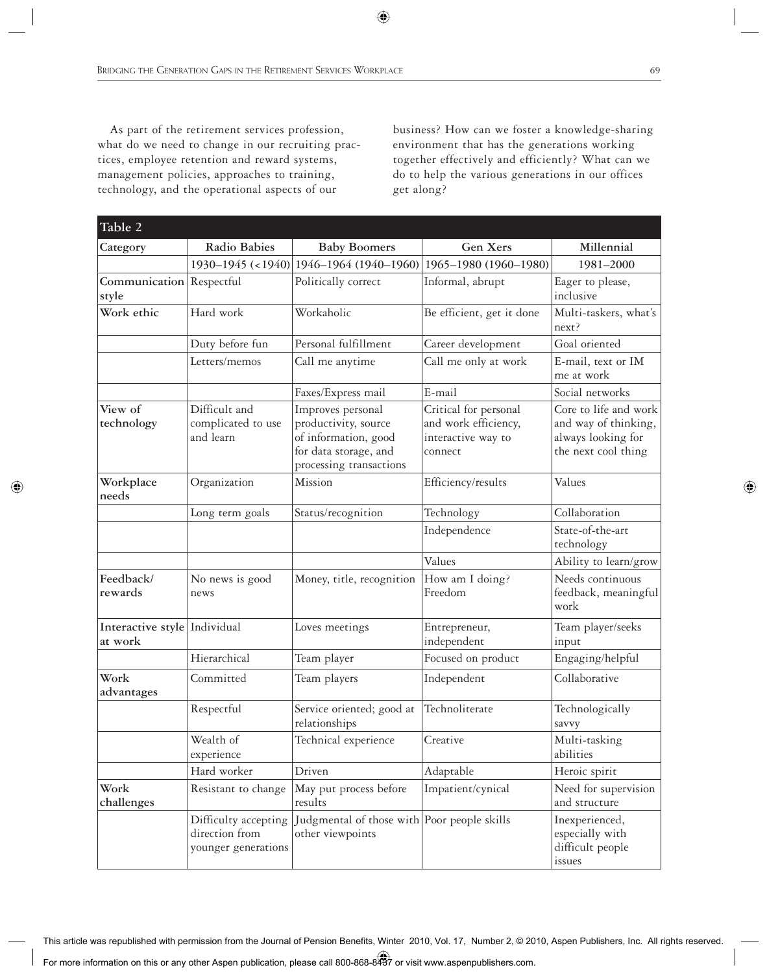As part of the retirement services profession, what do we need to change in our recruiting practices, employee retention and reward systems, management policies, approaches to training, technology, and the operational aspects of our

business? How can we foster a knowledge-sharing environment that has the generations working together effectively and efficiently? What can we do to help the various generations in our offices get along?

| Table 2                                 |                                                               |                                                                                                                       |                                                                                |                                                                                            |  |  |
|-----------------------------------------|---------------------------------------------------------------|-----------------------------------------------------------------------------------------------------------------------|--------------------------------------------------------------------------------|--------------------------------------------------------------------------------------------|--|--|
| Category                                | Radio Babies                                                  | <b>Baby Boomers</b>                                                                                                   | Gen Xers                                                                       | Millennial                                                                                 |  |  |
|                                         | $1930 - 1945$ (<1940)                                         | 1946-1964 (1940-1960)                                                                                                 | 1965-1980 (1960-1980)                                                          | 1981-2000                                                                                  |  |  |
| Communication Respectful<br>style       |                                                               | Politically correct                                                                                                   | Informal, abrupt                                                               | Eager to please,<br>inclusive                                                              |  |  |
| Work ethic                              | Hard work                                                     | Workaholic                                                                                                            | Be efficient, get it done                                                      | Multi-taskers, what's<br>next?                                                             |  |  |
|                                         | Duty before fun                                               | Personal fulfillment                                                                                                  | Career development                                                             | Goal oriented                                                                              |  |  |
|                                         | Letters/memos                                                 | Call me anytime                                                                                                       | Call me only at work                                                           | E-mail, text or IM<br>me at work                                                           |  |  |
|                                         |                                                               | Faxes/Express mail                                                                                                    | E-mail                                                                         | Social networks                                                                            |  |  |
| View of<br>technology                   | Difficult and<br>complicated to use<br>and learn              | Improves personal<br>productivity, source<br>of information, good<br>for data storage, and<br>processing transactions | Critical for personal<br>and work efficiency,<br>interactive way to<br>connect | Core to life and work<br>and way of thinking,<br>always looking for<br>the next cool thing |  |  |
| Workplace<br>needs                      | Organization                                                  | Mission                                                                                                               | Efficiency/results                                                             | Values                                                                                     |  |  |
|                                         | Long term goals                                               | Status/recognition                                                                                                    | Technology                                                                     | Collaboration                                                                              |  |  |
|                                         |                                                               |                                                                                                                       | Independence                                                                   | State-of-the-art<br>technology                                                             |  |  |
|                                         |                                                               |                                                                                                                       | Values                                                                         | Ability to learn/grow                                                                      |  |  |
| Feedback/<br>rewards                    | No news is good<br>news                                       | Money, title, recognition                                                                                             | How am I doing?<br>Freedom                                                     | Needs continuous<br>feedback, meaningful<br>work                                           |  |  |
| Interactive style Individual<br>at work |                                                               | Loves meetings                                                                                                        | Entrepreneur,<br>independent                                                   | Team player/seeks<br>input                                                                 |  |  |
|                                         | Hierarchical                                                  | Team player                                                                                                           | Focused on product                                                             | Engaging/helpful                                                                           |  |  |
| Work<br>advantages                      | Committed                                                     | Team players                                                                                                          | Independent                                                                    | Collaborative                                                                              |  |  |
|                                         | Respectful                                                    | Service oriented; good at<br>relationships                                                                            | Technoliterate                                                                 | Technologically<br>savvy                                                                   |  |  |
|                                         | Wealth of<br>experience                                       | Technical experience                                                                                                  | Creative                                                                       | Multi-tasking<br>abilities                                                                 |  |  |
|                                         | Hard worker                                                   | Driven                                                                                                                | Adaptable                                                                      | Heroic spirit                                                                              |  |  |
| Work<br>challenges                      | Resistant to change                                           | May put process before<br>results                                                                                     | Impatient/cynical                                                              | Need for supervision<br>and structure                                                      |  |  |
|                                         | Difficulty accepting<br>direction from<br>younger generations | Judgmental of those with Poor people skills<br>other viewpoints                                                       |                                                                                | Inexperienced,<br>especially with<br>difficult people<br>issues                            |  |  |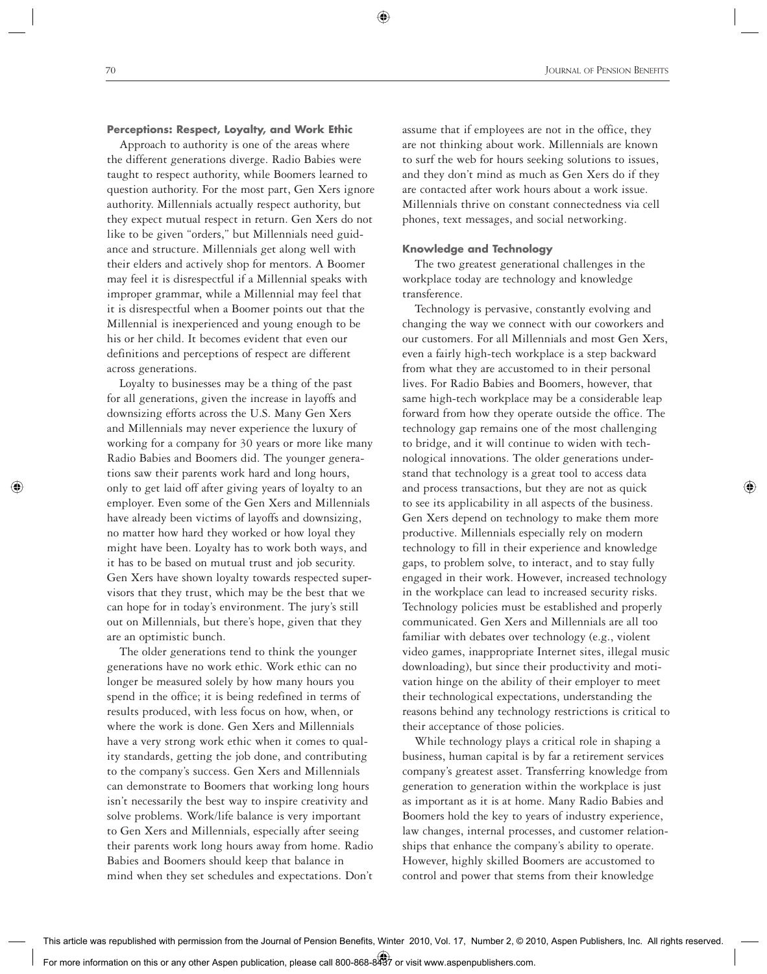#### **Perceptions: Respect, Loyalty, and Work Ethic**

 Approach to authority is one of the areas where the different generations diverge. Radio Babies were taught to respect authority, while Boomers learned to question authority. For the most part, Gen Xers ignore authority. Millennials actually respect authority, but they expect mutual respect in return. Gen Xers do not like to be given "orders," but Millennials need guidance and structure. Millennials get along well with their elders and actively shop for mentors. A Boomer may feel it is disrespectful if a Millennial speaks with improper grammar, while a Millennial may feel that it is disrespectful when a Boomer points out that the Millennial is inexperienced and young enough to be his or her child. It becomes evident that even our definitions and perceptions of respect are different across generations.

 Loyalty to businesses may be a thing of the past for all generations, given the increase in layoffs and downsizing efforts across the U.S. Many Gen Xers and Millennials may never experience the luxury of working for a company for 30 years or more like many Radio Babies and Boomers did. The younger generations saw their parents work hard and long hours, only to get laid off after giving years of loyalty to an employer. Even some of the Gen Xers and Millennials have already been victims of layoffs and downsizing, no matter how hard they worked or how loyal they might have been. Loyalty has to work both ways, and it has to be based on mutual trust and job security. Gen Xers have shown loyalty towards respected supervisors that they trust, which may be the best that we can hope for in today's environment. The jury's still out on Millennials, but there's hope, given that they are an optimistic bunch.

 The older generations tend to think the younger generations have no work ethic. Work ethic can no longer be measured solely by how many hours you spend in the office; it is being redefined in terms of results produced, with less focus on how, when, or where the work is done. Gen Xers and Millennials have a very strong work ethic when it comes to quality standards, getting the job done, and contributing to the company's success. Gen Xers and Millennials can demonstrate to Boomers that working long hours isn't necessarily the best way to inspire creativity and solve problems. Work/life balance is very important to Gen Xers and Millennials, especially after seeing their parents work long hours away from home. Radio Babies and Boomers should keep that balance in mind when they set schedules and expectations. Don't

assume that if employees are not in the office, they are not thinking about work. Millennials are known to surf the web for hours seeking solutions to issues, and they don't mind as much as Gen Xers do if they are contacted after work hours about a work issue. Millennials thrive on constant connectedness via cell phones, text messages, and social networking.

## **Knowledge and Technology**

 The two greatest generational challenges in the workplace today are technology and knowledge transference.

 Technology is pervasive, constantly evolving and changing the way we connect with our coworkers and our customers. For all Millennials and most Gen Xers, even a fairly high-tech workplace is a step backward from what they are accustomed to in their personal lives. For Radio Babies and Boomers, however, that same high-tech workplace may be a considerable leap forward from how they operate outside the office. The technology gap remains one of the most challenging to bridge, and it will continue to widen with technological innovations. The older generations understand that technology is a great tool to access data and process transactions, but they are not as quick to see its applicability in all aspects of the business. Gen Xers depend on technology to make them more productive. Millennials especially rely on modern technology to fill in their experience and knowledge gaps, to problem solve, to interact, and to stay fully engaged in their work. However, increased technology in the workplace can lead to increased security risks. Technology policies must be established and properly communicated. Gen Xers and Millennials are all too familiar with debates over technology (e.g., violent video games, inappropriate Internet sites, illegal music downloading), but since their productivity and motivation hinge on the ability of their employer to meet their technological expectations, understanding the reasons behind any technology restrictions is critical to their acceptance of those policies.

 While technology plays a critical role in shaping a business, human capital is by far a retirement services company's greatest asset. Transferring knowledge from generation to generation within the workplace is just as important as it is at home. Many Radio Babies and Boomers hold the key to years of industry experience, law changes, internal processes, and customer relationships that enhance the company's ability to operate. However, highly skilled Boomers are accustomed to control and power that stems from their knowledge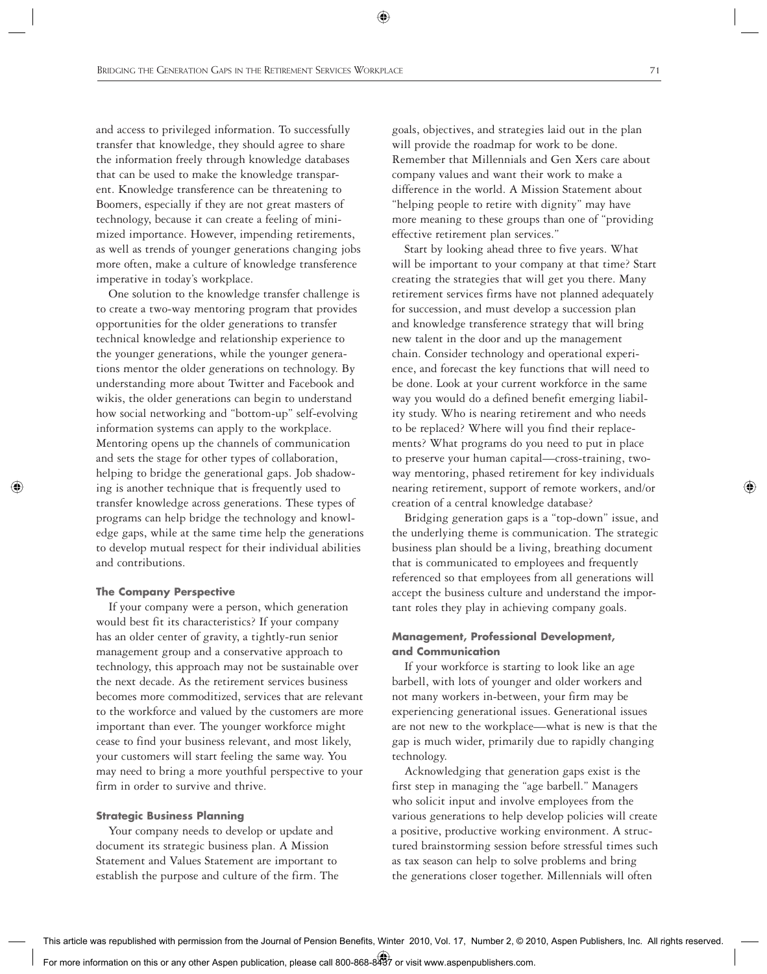and access to privileged information. To successfully transfer that knowledge, they should agree to share the information freely through knowledge databases that can be used to make the knowledge transparent. Knowledge transference can be threatening to Boomers, especially if they are not great masters of technology, because it can create a feeling of minimized importance. However, impending retirements, as well as trends of younger generations changing jobs more often, make a culture of knowledge transference imperative in today's workplace.

 One solution to the knowledge transfer challenge is to create a two-way mentoring program that provides opportunities for the older generations to transfer technical knowledge and relationship experience to the younger generations, while the younger generations mentor the older generations on technology. By understanding more about Twitter and Facebook and wikis, the older generations can begin to understand how social networking and "bottom-up" self-evolving information systems can apply to the workplace. Mentoring opens up the channels of communication and sets the stage for other types of collaboration, helping to bridge the generational gaps. Job shadowing is another technique that is frequently used to transfer knowledge across generations. These types of programs can help bridge the technology and knowledge gaps, while at the same time help the generations to develop mutual respect for their individual abilities and contributions.

#### **The Company Perspective**

 If your company were a person, which generation would best fit its characteristics? If your company has an older center of gravity, a tightly-run senior management group and a conservative approach to technology, this approach may not be sustainable over the next decade. As the retirement services business becomes more commoditized, services that are relevant to the workforce and valued by the customers are more important than ever. The younger workforce might cease to find your business relevant, and most likely, your customers will start feeling the same way. You may need to bring a more youthful perspective to your firm in order to survive and thrive.

#### **Strategic Business Planning**

 Your company needs to develop or update and document its strategic business plan. A Mission Statement and Values Statement are important to establish the purpose and culture of the firm. The goals, objectives, and strategies laid out in the plan will provide the roadmap for work to be done. Remember that Millennials and Gen Xers care about company values and want their work to make a difference in the world. A Mission Statement about "helping people to retire with dignity" may have more meaning to these groups than one of "providing effective retirement plan services."

 Start by looking ahead three to five years. What will be important to your company at that time? Start creating the strategies that will get you there. Many retirement services firms have not planned adequately for succession, and must develop a succession plan and knowledge transference strategy that will bring new talent in the door and up the management chain. Consider technology and operational experience, and forecast the key functions that will need to be done. Look at your current workforce in the same way you would do a defined benefit emerging liability study. Who is nearing retirement and who needs to be replaced? Where will you find their replacements? What programs do you need to put in place to preserve your human capital—cross-training, twoway mentoring, phased retirement for key individuals nearing retirement, support of remote workers, and/or creation of a central knowledge database?

 Bridging generation gaps is a "top-down" issue, and the underlying theme is communication. The strategic business plan should be a living, breathing document that is communicated to employees and frequently referenced so that employees from all generations will accept the business culture and understand the important roles they play in achieving company goals.

# **Management, Professional Development, and Communication**

 If your workforce is starting to look like an age barbell, with lots of younger and older workers and not many workers in-between, your firm may be experiencing generational issues. Generational issues are not new to the workplace—what is new is that the gap is much wider, primarily due to rapidly changing technology.

 Acknowledging that generation gaps exist is the first step in managing the "age barbell." Managers who solicit input and involve employees from the various generations to help develop policies will create a positive, productive working environment. A structured brainstorming session before stressful times such as tax season can help to solve problems and bring the generations closer together. Millennials will often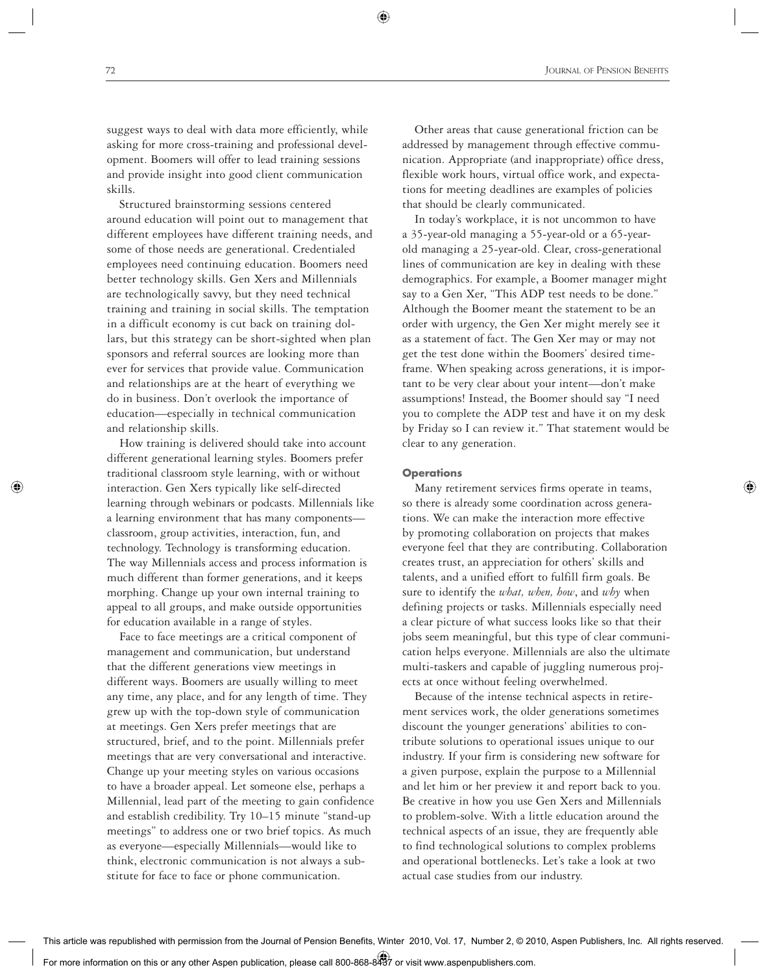suggest ways to deal with data more efficiently, while asking for more cross-training and professional development. Boomers will offer to lead training sessions and provide insight into good client communication skills.

 Structured brainstorming sessions centered around education will point out to management that different employees have different training needs, and some of those needs are generational. Credentialed employees need continuing education. Boomers need better technology skills. Gen Xers and Millennials are technologically savvy, but they need technical training and training in social skills. The temptation in a difficult economy is cut back on training dollars, but this strategy can be short-sighted when plan sponsors and referral sources are looking more than ever for services that provide value. Communication and relationships are at the heart of everything we do in business. Don't overlook the importance of education—especially in technical communication and relationship skills.

 How training is delivered should take into account different generational learning styles. Boomers prefer traditional classroom style learning, with or without interaction. Gen Xers typically like self-directed learning through webinars or podcasts. Millennials like a learning environment that has many components classroom, group activities, interaction, fun, and technology. Technology is transforming education. The way Millennials access and process information is much different than former generations, and it keeps morphing. Change up your own internal training to appeal to all groups, and make outside opportunities for education available in a range of styles.

 Face to face meetings are a critical component of management and communication, but understand that the different generations view meetings in different ways. Boomers are usually willing to meet any time, any place, and for any length of time. They grew up with the top-down style of communication at meetings. Gen Xers prefer meetings that are structured, brief, and to the point. Millennials prefer meetings that are very conversational and interactive. Change up your meeting styles on various occasions to have a broader appeal. Let someone else, perhaps a Millennial, lead part of the meeting to gain confidence and establish credibility. Try 10–15 minute "stand-up meetings" to address one or two brief topics. As much as everyone—especially Millennials—would like to think, electronic communication is not always a substitute for face to face or phone communication.

 Other areas that cause generational friction can be addressed by management through effective communication. Appropriate (and inappropriate) office dress, flexible work hours, virtual office work, and expectations for meeting deadlines are examples of policies that should be clearly communicated.

 In today's workplace, it is not uncommon to have a 35-year-old managing a 55-year-old or a 65-yearold managing a 25-year-old. Clear, cross-generational lines of communication are key in dealing with these demographics. For example, a Boomer manager might say to a Gen Xer, "This ADP test needs to be done." Although the Boomer meant the statement to be an order with urgency, the Gen Xer might merely see it as a statement of fact. The Gen Xer may or may not get the test done within the Boomers' desired timeframe. When speaking across generations, it is important to be very clear about your intent—don't make assumptions! Instead, the Boomer should say "I need you to complete the ADP test and have it on my desk by Friday so I can review it." That statement would be clear to any generation.

## **Operations**

 Many retirement services firms operate in teams, so there is already some coordination across generations. We can make the interaction more effective by promoting collaboration on projects that makes everyone feel that they are contributing. Collaboration creates trust, an appreciation for others' skills and talents, and a unified effort to fulfill firm goals. Be sure to identify the *what, when, how*, and *why* when defining projects or tasks. Millennials especially need a clear picture of what success looks like so that their jobs seem meaningful, but this type of clear communication helps everyone. Millennials are also the ultimate multi-taskers and capable of juggling numerous projects at once without feeling overwhelmed.

 Because of the intense technical aspects in retirement services work, the older generations sometimes discount the younger generations' abilities to contribute solutions to operational issues unique to our industry. If your firm is considering new software for a given purpose, explain the purpose to a Millennial and let him or her preview it and report back to you. Be creative in how you use Gen Xers and Millennials to problem-solve. With a little education around the technical aspects of an issue, they are frequently able to find technological solutions to complex problems and operational bottlenecks. Let's take a look at two actual case studies from our industry.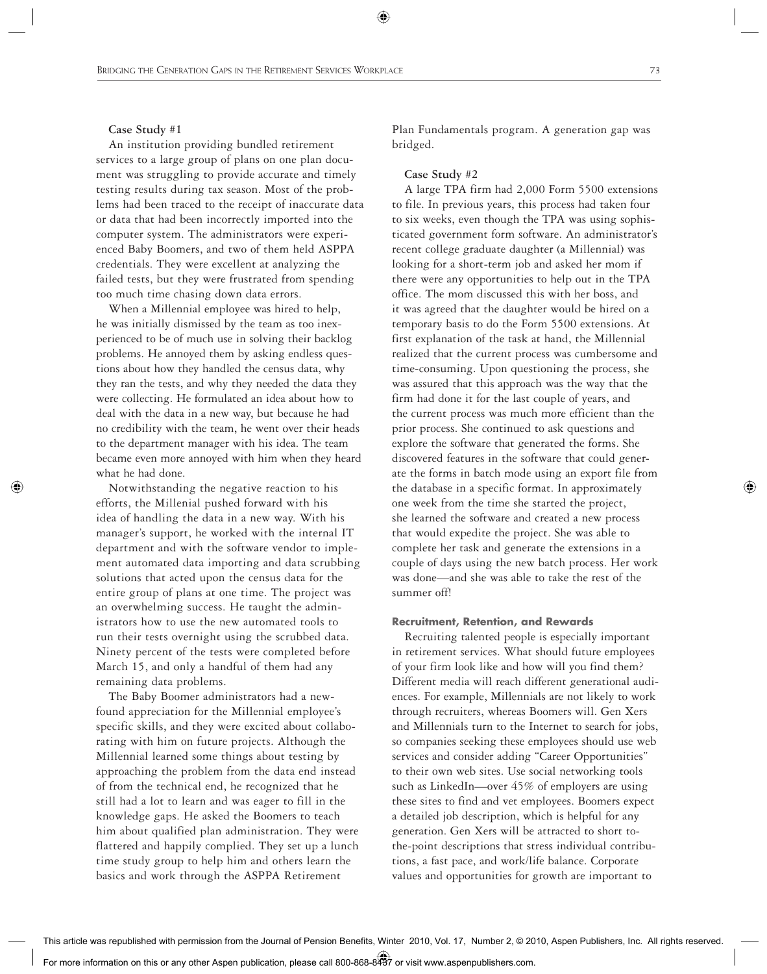## **Case Study #1**

 An institution providing bundled retirement services to a large group of plans on one plan document was struggling to provide accurate and timely testing results during tax season. Most of the problems had been traced to the receipt of inaccurate data or data that had been incorrectly imported into the computer system. The administrators were experienced Baby Boomers, and two of them held ASPPA credentials. They were excellent at analyzing the failed tests, but they were frustrated from spending too much time chasing down data errors.

 When a Millennial employee was hired to help, he was initially dismissed by the team as too inexperienced to be of much use in solving their backlog problems. He annoyed them by asking endless questions about how they handled the census data, why they ran the tests, and why they needed the data they were collecting. He formulated an idea about how to deal with the data in a new way, but because he had no credibility with the team, he went over their heads to the department manager with his idea. The team became even more annoyed with him when they heard what he had done.

 Notwithstanding the negative reaction to his efforts, the Millenial pushed forward with his idea of handling the data in a new way. With his manager's support, he worked with the internal IT department and with the software vendor to implement automated data importing and data scrubbing solutions that acted upon the census data for the entire group of plans at one time. The project was an overwhelming success. He taught the administrators how to use the new automated tools to run their tests overnight using the scrubbed data. Ninety percent of the tests were completed before March 15, and only a handful of them had any remaining data problems.

 The Baby Boomer administrators had a newfound appreciation for the Millennial employee's specific skills, and they were excited about collaborating with him on future projects. Although the Millennial learned some things about testing by approaching the problem from the data end instead of from the technical end, he recognized that he still had a lot to learn and was eager to fill in the knowledge gaps. He asked the Boomers to teach him about qualified plan administration. They were flattered and happily complied. They set up a lunch time study group to help him and others learn the basics and work through the ASPPA Retirement

Plan Fundamentals program. A generation gap was bridged.

#### **Case Study #2**

 A large TPA firm had 2,000 Form 5500 extensions to file. In previous years, this process had taken four to six weeks, even though the TPA was using sophisticated government form software. An administrator's recent college graduate daughter (a Millennial) was looking for a short-term job and asked her mom if there were any opportunities to help out in the TPA office. The mom discussed this with her boss, and it was agreed that the daughter would be hired on a temporary basis to do the Form 5500 extensions. At first explanation of the task at hand, the Millennial realized that the current process was cumbersome and time-consuming. Upon questioning the process, she was assured that this approach was the way that the firm had done it for the last couple of years, and the current process was much more efficient than the prior process. She continued to ask questions and explore the software that generated the forms. She discovered features in the software that could generate the forms in batch mode using an export file from the database in a specific format. In approximately one week from the time she started the project, she learned the software and created a new process that would expedite the project. She was able to complete her task and generate the extensions in a couple of days using the new batch process. Her work was done—and she was able to take the rest of the summer off!

#### **Recruitment, Retention, and Rewards**

 Recruiting talented people is especially important in retirement services. What should future employees of your firm look like and how will you find them? Different media will reach different generational audiences. For example, Millennials are not likely to work through recruiters, whereas Boomers will. Gen Xers and Millennials turn to the Internet to search for jobs, so companies seeking these employees should use web services and consider adding "Career Opportunities" to their own web sites. Use social networking tools such as LinkedIn—over 45% of employers are using these sites to find and vet employees. Boomers expect a detailed job description, which is helpful for any generation. Gen Xers will be attracted to short tothe-point descriptions that stress individual contributions, a fast pace, and work/life balance. Corporate values and opportunities for growth are important to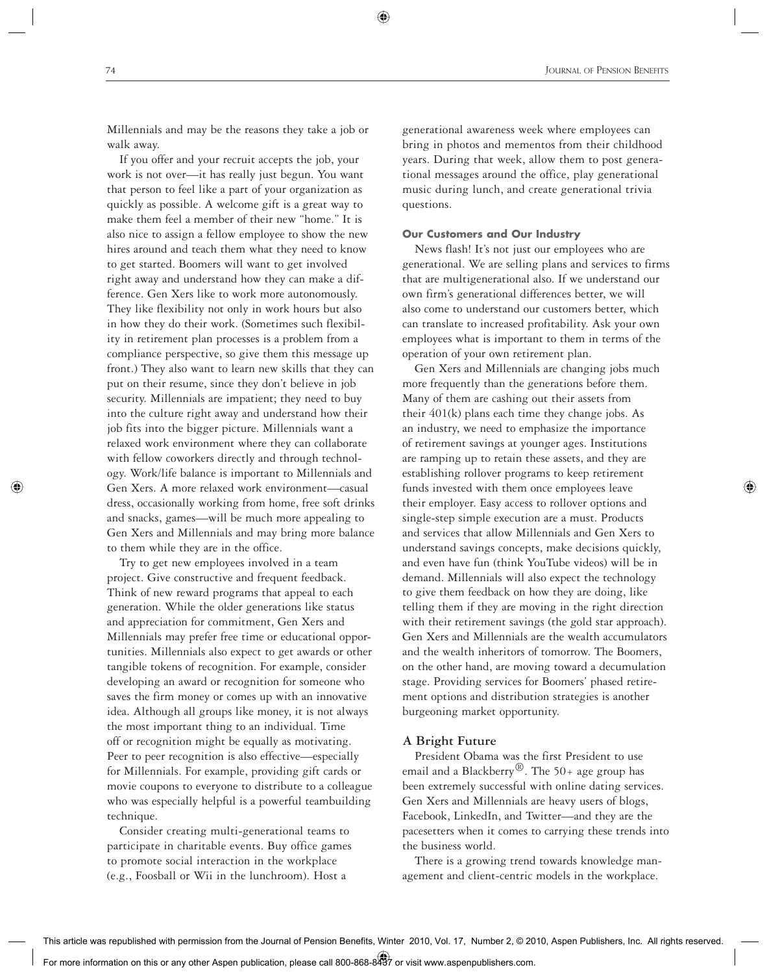Millennials and may be the reasons they take a job or walk away.

 If you offer and your recruit accepts the job, your work is not over—it has really just begun. You want that person to feel like a part of your organization as quickly as possible. A welcome gift is a great way to make them feel a member of their new "home." It is also nice to assign a fellow employee to show the new hires around and teach them what they need to know to get started. Boomers will want to get involved right away and understand how they can make a difference. Gen Xers like to work more autonomously. They like flexibility not only in work hours but also in how they do their work. (Sometimes such flexibility in retirement plan processes is a problem from a compliance perspective, so give them this message up front.) They also want to learn new skills that they can put on their resume, since they don't believe in job security. Millennials are impatient; they need to buy into the culture right away and understand how their job fits into the bigger picture. Millennials want a relaxed work environment where they can collaborate with fellow coworkers directly and through technology. Work/life balance is important to Millennials and Gen Xers. A more relaxed work environment—casual dress, occasionally working from home, free soft drinks and snacks, games—will be much more appealing to Gen Xers and Millennials and may bring more balance to them while they are in the office.

 Try to get new employees involved in a team project. Give constructive and frequent feedback. Think of new reward programs that appeal to each generation. While the older generations like status and appreciation for commitment, Gen Xers and Millennials may prefer free time or educational opportunities. Millennials also expect to get awards or other tangible tokens of recognition. For example, consider developing an award or recognition for someone who saves the firm money or comes up with an innovative idea. Although all groups like money, it is not always the most important thing to an individual. Time off or recognition might be equally as motivating. Peer to peer recognition is also effective—especially for Millennials. For example, providing gift cards or movie coupons to everyone to distribute to a colleague who was especially helpful is a powerful teambuilding technique.

 Consider creating multi-generational teams to participate in charitable events. Buy office games to promote social interaction in the workplace (e.g., Foosball or Wii in the lunchroom). Host a

 generational awareness week where employees can bring in photos and mementos from their childhood years. During that week, allow them to post generational messages around the office, play generational music during lunch, and create generational trivia questions.

## **Our Customers and Our Industry**

 News flash! It's not just our employees who are generational. We are selling plans and services to firms that are multigenerational also. If we understand our own firm's generational differences better, we will also come to understand our customers better, which can translate to increased profitability. Ask your own employees what is important to them in terms of the operation of your own retirement plan.

 Gen Xers and Millennials are changing jobs much more frequently than the generations before them. Many of them are cashing out their assets from their 401(k) plans each time they change jobs. As an industry, we need to emphasize the importance of retirement savings at younger ages. Institutions are ramping up to retain these assets, and they are establishing rollover programs to keep retirement funds invested with them once employees leave their employer. Easy access to rollover options and single-step simple execution are a must. Products and services that allow Millennials and Gen Xers to understand savings concepts, make decisions quickly, and even have fun (think YouTube videos) will be in demand. Millennials will also expect the technology to give them feedback on how they are doing, like telling them if they are moving in the right direction with their retirement savings (the gold star approach). Gen Xers and Millennials are the wealth accumulators and the wealth inheritors of tomorrow. The Boomers, on the other hand, are moving toward a decumulation stage. Providing services for Boomers' phased retirement options and distribution strategies is another burgeoning market opportunity.

#### **A Bright Future**

 President Obama was the first President to use email and a Blackberry<sup>®</sup>. The 50+ age group has been extremely successful with online dating services. Gen Xers and Millennials are heavy users of blogs, Facebook, LinkedIn, and Twitter—and they are the pacesetters when it comes to carrying these trends into the business world.

 There is a growing trend towards knowledge management and client-centric models in the workplace.